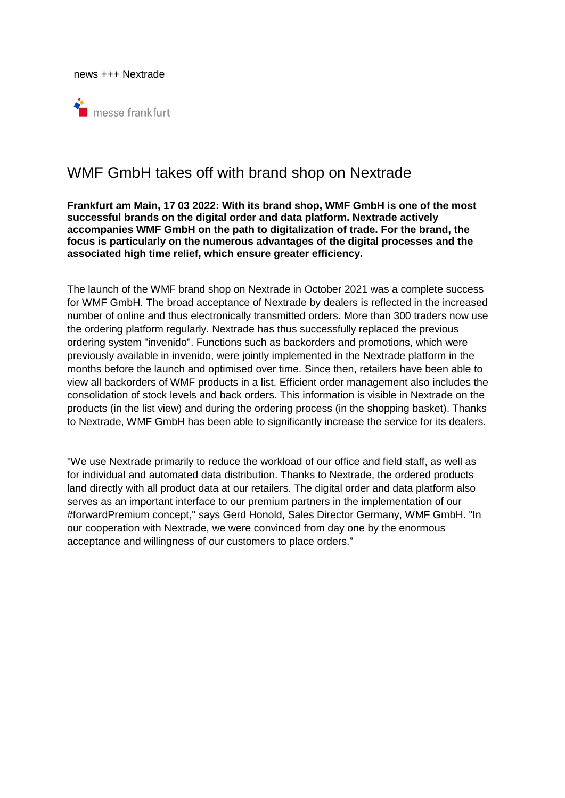news +++ Nextrade



# WMF GmbH takes off with brand shop on Nextrade

## **Frankfurt am Main, 17 03 2022: With its brand shop, WMF GmbH is one of the most successful brands on the digital order and data platform. Nextrade actively accompanies WMF GmbH on the path to digitalization of trade. For the brand, the focus is particularly on the numerous advantages of the digital processes and the associated high time relief, which ensure greater efficiency.**

The launch of the WMF brand shop on Nextrade in October 2021 was a complete success for WMF GmbH. The broad acceptance of Nextrade by dealers is reflected in the increased number of online and thus electronically transmitted orders. More than 300 traders now use the ordering platform regularly. Nextrade has thus successfully replaced the previous ordering system "invenido". Functions such as backorders and promotions, which were previously available in invenido, were jointly implemented in the Nextrade platform in the months before the launch and optimised over time. Since then, retailers have been able to view all backorders of WMF products in a list. Efficient order management also includes the consolidation of stock levels and back orders. This information is visible in Nextrade on the products (in the list view) and during the ordering process (in the shopping basket). Thanks to Nextrade, WMF GmbH has been able to significantly increase the service for its dealers.

"We use Nextrade primarily to reduce the workload of our office and field staff, as well as for individual and automated data distribution. Thanks to Nextrade, the ordered products land directly with all product data at our retailers. The digital order and data platform also serves as an important interface to our premium partners in the implementation of our #forwardPremium concept," says Gerd Honold, Sales Director Germany, WMF GmbH. "In our cooperation with Nextrade, we were convinced from day one by the enormous acceptance and willingness of our customers to place orders."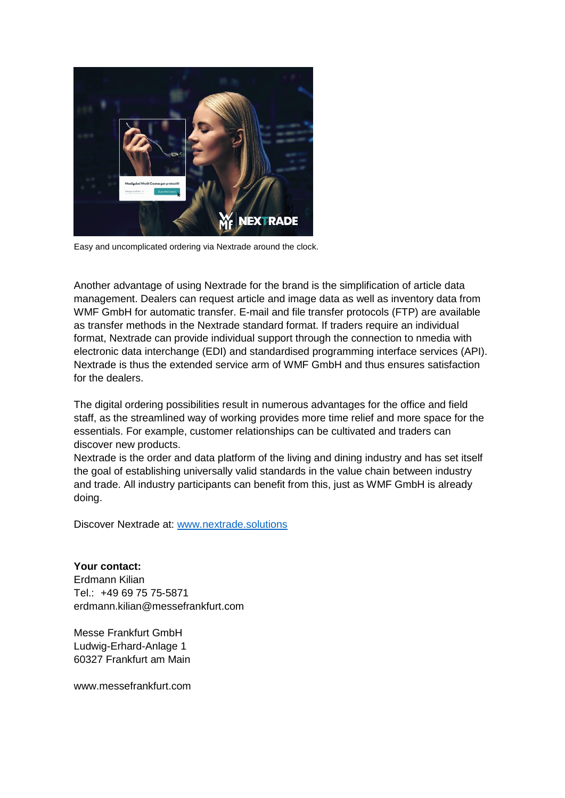

Easy and uncomplicated ordering via Nextrade around the clock.

Another advantage of using Nextrade for the brand is the simplification of article data management. Dealers can request article and image data as well as inventory data from WMF GmbH for automatic transfer. E-mail and file transfer protocols (FTP) are available as transfer methods in the Nextrade standard format. If traders require an individual format, Nextrade can provide individual support through the connection to nmedia with electronic data interchange (EDI) and standardised programming interface services (API). Nextrade is thus the extended service arm of WMF GmbH and thus ensures satisfaction for the dealers.

The digital ordering possibilities result in numerous advantages for the office and field staff, as the streamlined way of working provides more time relief and more space for the essentials. For example, customer relationships can be cultivated and traders can discover new products.

Nextrade is the order and data platform of the living and dining industry and has set itself the goal of establishing universally valid standards in the value chain between industry and trade. All industry participants can benefit from this, just as WMF GmbH is already doing.

Discover Nextrade at: www.nextrade.solutions

**Your contact:**  Erdmann Kilian Tel.: +49 69 75 75-5871 erdmann.kilian@messefrankfurt.com

Messe Frankfurt GmbH Ludwig-Erhard-Anlage 1 60327 Frankfurt am Main

www.messefrankfurt.com